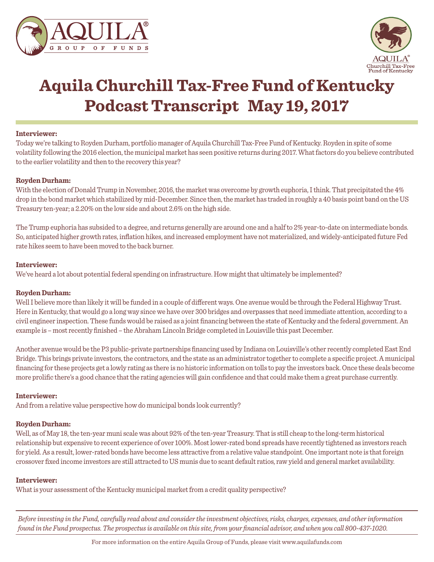



# **Aquila Churchill Tax-Free Fund of Kentucky Podcast Transcript May 19, 2017**

#### **Interviewer:**

Today we're talking to Royden Durham, portfolio manager of Aquila Churchill Tax-Free Fund of Kentucky. Royden in spite of some volatility following the 2016 election, the municipal market has seen positive returns during 2017. What factors do you believe contributed to the earlier volatility and then to the recovery this year?

#### **Royden Durham:**

With the election of Donald Trump in November, 2016, the market was overcome by growth euphoria, I think. That precipitated the 4% drop in the bond market which stabilized by mid-December. Since then, the market has traded in roughly a 40 basis point band on the US Treasury ten-year; a 2.20% on the low side and about 2.6% on the high side.

The Trump euphoria has subsided to a degree, and returns generally are around one and a half to 2% year-to-date on intermediate bonds. So, anticipated higher growth rates, inflation hikes, and increased employment have not materialized, and widely-anticipated future Fed rate hikes seem to have been moved to the back burner.

### **Interviewer:**

We've heard a lot about potential federal spending on infrastructure. How might that ultimately be implemented?

#### **Royden Durham:**

Well I believe more than likely it will be funded in a couple of different ways. One avenue would be through the Federal Highway Trust. Here in Kentucky, that would go a long way since we have over 300 bridges and overpasses that need immediate attention, according to a civil engineer inspection. These funds would be raised as a joint financing between the state of Kentucky and the federal government. An example is – most recently finished – the Abraham Lincoln Bridge completed in Louisville this past December.

Another avenue would be the P3 public-private partnerships financing used by Indiana on Louisville's other recently completed East End Bridge. This brings private investors, the contractors, and the state as an administrator together to complete a specific project. A municipal financing for these projects get a lowly rating as there is no historic information on tolls to pay the investors back. Once these deals become more prolific there's a good chance that the rating agencies will gain confidence and that could make them a great purchase currently.

#### **Interviewer:**

And from a relative value perspective how do municipal bonds look currently?

#### **Royden Durham:**

Well, as of May 18, the ten-year muni scale was about 92% of the ten-year Treasury. That is still cheap to the long-term historical relationship but expensive to recent experience of over 100%. Most lower-rated bond spreads have recently tightened as investors reach for yield. As a result, lower-rated bonds have become less attractive from a relative value standpoint. One important note is that foreign crossover fixed income investors are still attracted to US munis due to scant default ratios, raw yield and general market availability.

#### **Interviewer:**

What is your assessment of the Kentucky municipal market from a credit quality perspective?

*Before investing in the Fund, carefully read about and consider the investment objectives, risks, charges, expenses, and other information found in the Fund prospectus. The prospectus is available on this site, from your financial advisor, and when you call 800-437-1020.*